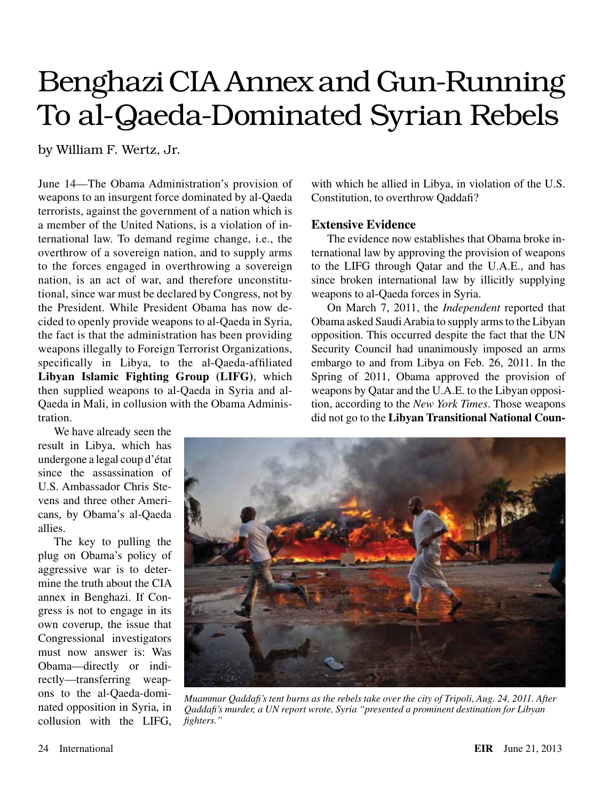# Benghazi CIA Annex and Gun-Running To al-Qaeda-Dominated Syrian Rebels

by William F. Wertz, Jr.

June 14—The Obama Administration's provision of weapons to an insurgent force dominated by al-Qaeda terrorists, against the government of a nation which is a member of the United Nations, is a violation of international law. To demand regime change, i.e., the overthrow of a sovereign nation, and to supply arms to the forces engaged in overthrowing a sovereign nation, is an act of war, and therefore unconstitutional, since war must be declared by Congress, not by the President. While President Obama has now decided to openly provide weapons to al-Qaeda in Syria, the fact is that the administration has been providing weapons illegally to Foreign Terrorist Organizations, specifically in Libya, to the al-Qaeda-affiliated **Libyan Islamic Fighting Group (LIFG)**, which then supplied weapons to al-Qaeda in Syria and al-Qaeda in Mali, in collusion with the Obama Administration.

We have already seen the result in Libya, which has undergone a legal coup d'état since the assassination of U.S. Ambassador Chris Stevens and three other Americans, by Obama's al-Qaeda allies.

The key to pulling the plug on Obama's policy of aggressive war is to determine the truth about the CIA annex in Benghazi. If Congress is not to engage in its own coverup, the issue that Congressional investigators must now answer is: Was Obama—directly or indirectly—transferring weapons to the al-Qaeda-dominated opposition in Syria, in collusion with the LIFG, with which he allied in Libya, in violation of the U.S. Constitution, to overthrow Qaddafi?

## **Extensive Evidence**

The evidence now establishes that Obama broke international law by approving the provision of weapons to the LIFG through Qatar and the U.A.E., and has since broken international law by illicitly supplying weapons to al-Qaeda forces in Syria.

On March 7, 2011, the *Independent* reported that Obama asked Saudi Arabia to supply arms to the Libyan opposition. This occurred despite the fact that the UN Security Council had unanimously imposed an arms embargo to and from Libya on Feb. 26, 2011. In the Spring of 2011, Obama approved the provision of weapons by Qatar and the U.A.E. to the Libyan opposition, according to the *New York Times*. Those weapons did not go to the **Libyan Transitional National Coun-**



*Muammar Qaddafi's tent burns as the rebels take over the city of Tripoli, Aug. 24, 2011. After Qaddafi's murder, a UN report wrote, Syria "presented a prominent destination for Libyan fighters."*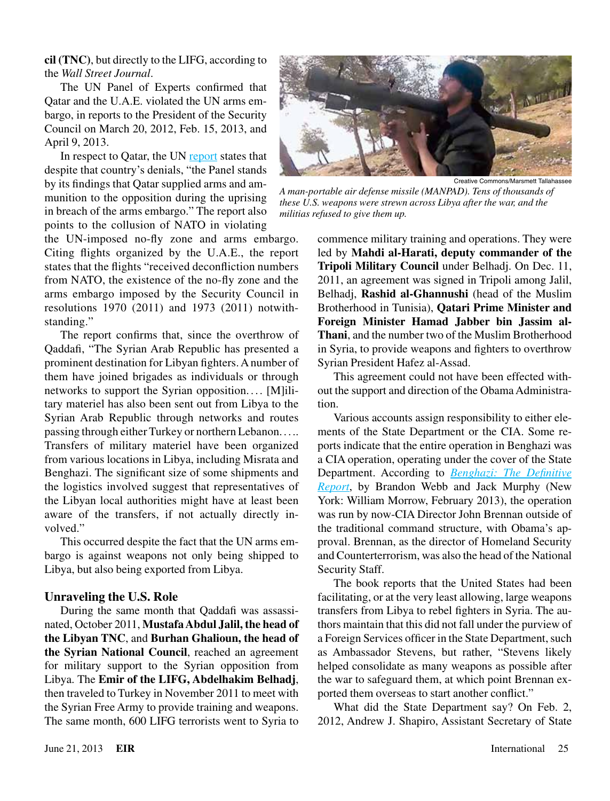**cil (TNC)**, but directly to the LIFG, according to the *Wall Street Journal*.

The UN Panel of Experts confirmed that Qatar and the U.A.E. violated the UN arms embargo, in reports to the President of the Security Council on March 20, 2012, Feb. 15, 2013, and April 9, 2013.

In respect to Qatar, the UN [report](http://www.un.org/ga/search/view_doc.asp?symbol=S/2013/99) states that despite that country's denials, "the Panel stands by its findings that Qatar supplied arms and ammunition to the opposition during the uprising in breach of the arms embargo." The report also points to the collusion of NATO in violating

the UN-imposed no-fly zone and arms embargo. Citing flights organized by the U.A.E., the report states that the flights "received deconfliction numbers from NATO, the existence of the no-fly zone and the arms embargo imposed by the Security Council in resolutions 1970 (2011) and 1973 (2011) notwithstanding."

The report confirms that, since the overthrow of Qaddafi, "The Syrian Arab Republic has presented a prominent destination for Libyan fighters. A number of them have joined brigades as individuals or through networks to support the Syrian opposition.... [M]ilitary materiel has also been sent out from Libya to the Syrian Arab Republic through networks and routes passing through either Turkey or northern Lebanon. . . .. Transfers of military materiel have been organized from various locations in Libya, including Misrata and Benghazi. The significant size of some shipments and the logistics involved suggest that representatives of the Libyan local authorities might have at least been aware of the transfers, if not actually directly involved."

This occurred despite the fact that the UN arms embargo is against weapons not only being shipped to Libya, but also being exported from Libya.

#### **Unraveling the U.S. Role**

During the same month that Qaddafi was assassinated, October 2011, **Mustafa Abdul Jalil, the head of the Libyan TNC**, and **Burhan Ghalioun, the head of the Syrian National Council**, reached an agreement for military support to the Syrian opposition from Libya. The **Emir of the LIFG, Abdelhakim Belhadj**, then traveled to Turkey in November 2011 to meet with the Syrian Free Army to provide training and weapons. The same month, 600 LIFG terrorists went to Syria to



*A man-portable air defense missile (MANPAD). Tens of thousands of these U.S. weapons were strewn across Libya after the war, and the militias refused to give them up.*

commence military training and operations. They were led by **Mahdi al-Harati, deputy commander of the Tripoli Military Council** under Belhadj. On Dec. 11, 2011, an agreement was signed in Tripoli among Jalil, Belhadj, **Rashid al-Ghannushi** (head of the Muslim Brotherhood in Tunisia), **Qatari Prime Minister and Foreign Minister Hamad Jabber bin Jassim al-Thani**, and the number two of the Muslim Brotherhood in Syria, to provide weapons and fighters to overthrow Syrian President Hafez al-Assad.

This agreement could not have been effected without the support and direction of the Obama Administration.

Various accounts assign responsibility to either elements of the State Department or the CIA. Some reports indicate that the entire operation in Benghazi was a CIA operation, operating under the cover of the State Department. According to *[Benghazi: The Definitive](http://www.larouchepub.com/eiw/public/2013/eirv40n08-20130222/52-55_4008.pdf)  [Report](http://www.larouchepub.com/eiw/public/2013/eirv40n08-20130222/52-55_4008.pdf)*, by Brandon Webb and Jack Murphy (New York: William Morrow, February 2013), the operation was run by now-CIA Director John Brennan outside of the traditional command structure, with Obama's approval. Brennan, as the director of Homeland Security and Counterterrorism, was also the head of the National Security Staff.

The book reports that the United States had been facilitating, or at the very least allowing, large weapons transfers from Libya to rebel fighters in Syria. The authors maintain that this did not fall under the purview of a Foreign Services officer in the State Department, such as Ambassador Stevens, but rather, "Stevens likely helped consolidate as many weapons as possible after the war to safeguard them, at which point Brennan exported them overseas to start another conflict."

What did the State Department say? On Feb. 2, 2012, Andrew J. Shapiro, Assistant Secretary of State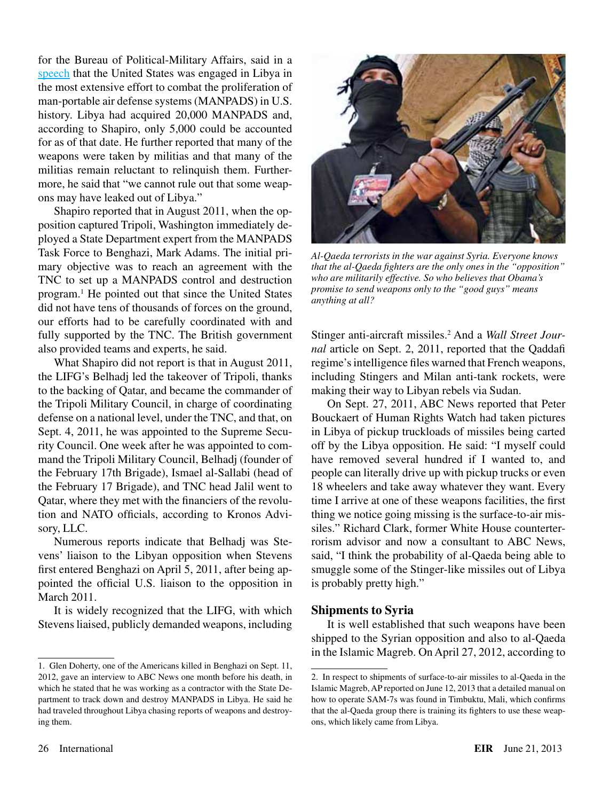for the Bureau of Political-Military Affairs, said in a [speech](http://www.stimson.org/events/libyas-missing- weapons-understanding-global-efforts-to-control-conventional-arms/) that the United States was engaged in Libya in the most extensive effort to combat the proliferation of man-portable air defense systems (MANPADS) in U.S. history. Libya had acquired 20,000 MANPADS and, according to Shapiro, only 5,000 could be accounted for as of that date. He further reported that many of the weapons were taken by militias and that many of the militias remain reluctant to relinquish them. Furthermore, he said that "we cannot rule out that some weapons may have leaked out of Libya."

Shapiro reported that in August 2011, when the opposition captured Tripoli, Washington immediately deployed a State Department expert from the MANPADS Task Force to Benghazi, Mark Adams. The initial primary objective was to reach an agreement with the TNC to set up a MANPADS control and destruction program.1 He pointed out that since the United States did not have tens of thousands of forces on the ground, our efforts had to be carefully coordinated with and fully supported by the TNC. The British government also provided teams and experts, he said.

What Shapiro did not report is that in August 2011, the LIFG's Belhadj led the takeover of Tripoli, thanks to the backing of Qatar, and became the commander of the Tripoli Military Council, in charge of coordinating defense on a national level, under the TNC, and that, on Sept. 4, 2011, he was appointed to the Supreme Security Council. One week after he was appointed to command the Tripoli Military Council, Belhadj (founder of the February 17th Brigade), Ismael al-Sallabi (head of the February 17 Brigade), and TNC head Jalil went to Qatar, where they met with the financiers of the revolution and NATO officials, according to Kronos Advisory, LLC.

Numerous reports indicate that Belhadj was Stevens' liaison to the Libyan opposition when Stevens first entered Benghazi on April 5, 2011, after being appointed the official U.S. liaison to the opposition in March 2011.

It is widely recognized that the LIFG, with which Stevens liaised, publicly demanded weapons, including



*Al-Qaeda terrorists in the war against Syria. Everyone knows that the al-Qaeda fighters are the only ones in the "opposition" who are militarily effective. So who believes that Obama's promise to send weapons only to the "good guys" means anything at all?*

Stinger anti-aircraft missiles.2 And a *Wall Street Journal* article on Sept. 2, 2011, reported that the Qaddafi regime's intelligence files warned that French weapons, including Stingers and Milan anti-tank rockets, were making their way to Libyan rebels via Sudan.

On Sept. 27, 2011, ABC News reported that Peter Bouckaert of Human Rights Watch had taken pictures in Libya of pickup truckloads of missiles being carted off by the Libya opposition. He said: "I myself could have removed several hundred if I wanted to, and people can literally drive up with pickup trucks or even 18 wheelers and take away whatever they want. Every time I arrive at one of these weapons facilities, the first thing we notice going missing is the surface-to-air missiles." Richard Clark, former White House counterterrorism advisor and now a consultant to ABC News, said, "I think the probability of al-Qaeda being able to smuggle some of the Stinger-like missiles out of Libya is probably pretty high."

## **Shipments to Syria**

It is well established that such weapons have been shipped to the Syrian opposition and also to al-Qaeda in the Islamic Magreb. On April 27, 2012, according to

<sup>1.</sup> Glen Doherty, one of the Americans killed in Benghazi on Sept. 11, 2012, gave an interview to ABC News one month before his death, in which he stated that he was working as a contractor with the State Department to track down and destroy MANPADS in Libya. He said he had traveled throughout Libya chasing reports of weapons and destroying them.

<sup>2.</sup> In respect to shipments of surface-to-air missiles to al-Qaeda in the Islamic Magreb, AP reported on June 12, 2013 that a detailed manual on how to operate SAM-7s was found in Timbuktu, Mali, which confirms that the al-Qaeda group there is training its fighters to use these weapons, which likely came from Libya.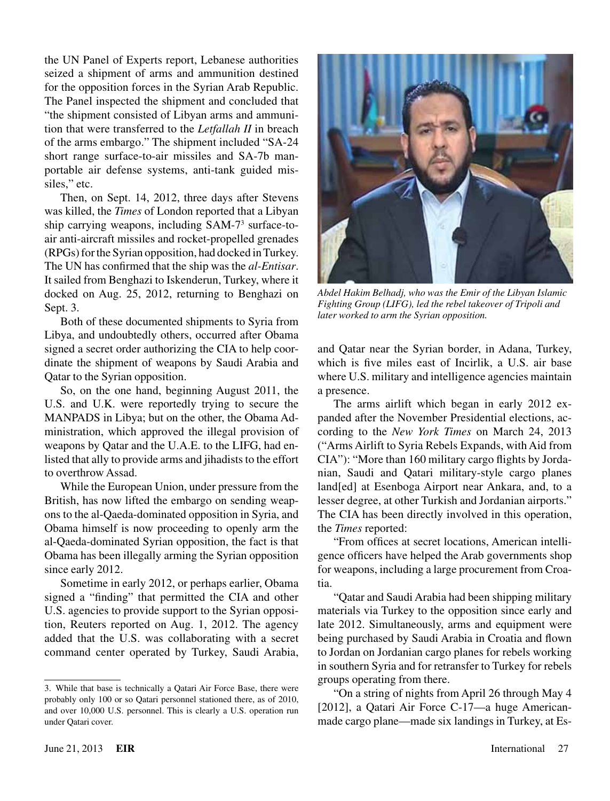the UN Panel of Experts report, Lebanese authorities seized a shipment of arms and ammunition destined for the opposition forces in the Syrian Arab Republic. The Panel inspected the shipment and concluded that "the shipment consisted of Libyan arms and ammunition that were transferred to the *Letfallah II* in breach of the arms embargo." The shipment included "SA-24 short range surface-to-air missiles and SA-7b manportable air defense systems, anti-tank guided missiles," etc.

Then, on Sept. 14, 2012, three days after Stevens was killed, the *Times* of London reported that a Libyan ship carrying weapons, including SAM-7<sup>3</sup> surface-toair anti-aircraft missiles and rocket-propelled grenades (RPGs) for the Syrian opposition, had docked in Turkey. The UN has confirmed that the ship was the *al-Entisar*. It sailed from Benghazi to Iskenderun, Turkey, where it docked on Aug. 25, 2012, returning to Benghazi on Sept. 3.

Both of these documented shipments to Syria from Libya, and undoubtedly others, occurred after Obama signed a secret order authorizing the CIA to help coordinate the shipment of weapons by Saudi Arabia and Qatar to the Syrian opposition.

So, on the one hand, beginning August 2011, the U.S. and U.K. were reportedly trying to secure the MANPADS in Libya; but on the other, the Obama Administration, which approved the illegal provision of weapons by Qatar and the U.A.E. to the LIFG, had enlisted that ally to provide arms and jihadists to the effort to overthrow Assad.

While the European Union, under pressure from the British, has now lifted the embargo on sending weapons to the al-Qaeda-dominated opposition in Syria, and Obama himself is now proceeding to openly arm the al-Qaeda-dominated Syrian opposition, the fact is that Obama has been illegally arming the Syrian opposition since early 2012.

Sometime in early 2012, or perhaps earlier, Obama signed a "finding" that permitted the CIA and other U.S. agencies to provide support to the Syrian opposition, Reuters reported on Aug. 1, 2012. The agency added that the U.S. was collaborating with a secret command center operated by Turkey, Saudi Arabia,



*Abdel Hakim Belhadj, who was the Emir of the Libyan Islamic Fighting Group (LIFG), led the rebel takeover of Tripoli and later worked to arm the Syrian opposition.*

and Qatar near the Syrian border, in Adana, Turkey, which is five miles east of Incirlik, a U.S. air base where U.S. military and intelligence agencies maintain a presence.

The arms airlift which began in early 2012 expanded after the November Presidential elections, according to the *New York Times* on March 24, 2013 ("Arms Airlift to Syria Rebels Expands, with Aid from CIA"): "More than 160 military cargo flights by Jordanian, Saudi and Qatari military-style cargo planes land[ed] at Esenboga Airport near Ankara, and, to a lesser degree, at other Turkish and Jordanian airports." The CIA has been directly involved in this operation, the *Times* reported:

"From offices at secret locations, American intelligence officers have helped the Arab governments shop for weapons, including a large procurement from Croatia.

"Qatar and Saudi Arabia had been shipping military materials via Turkey to the opposition since early and late 2012. Simultaneously, arms and equipment were being purchased by Saudi Arabia in Croatia and flown to Jordan on Jordanian cargo planes for rebels working in southern Syria and for retransfer to Turkey for rebels groups operating from there.

"On a string of nights from April 26 through May 4 [2012], a Qatari Air Force C-17—a huge Americanmade cargo plane—made six landings in Turkey, at Es-

<sup>3.</sup> While that base is technically a Qatari Air Force Base, there were probably only 100 or so Qatari personnel stationed there, as of 2010, and over 10,000 U.S. personnel. This is clearly a U.S. operation run under Qatari cover.